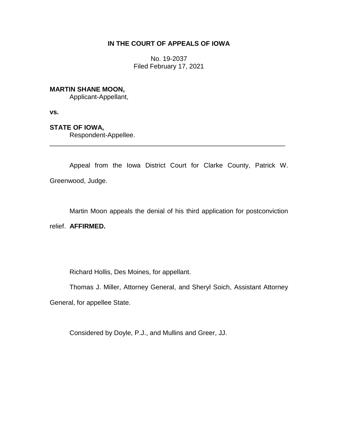# **IN THE COURT OF APPEALS OF IOWA**

No. 19-2037 Filed February 17, 2021

## **MARTIN SHANE MOON,**

Applicant-Appellant,

**vs.**

## **STATE OF IOWA,**

Respondent-Appellee.

Appeal from the Iowa District Court for Clarke County, Patrick W. Greenwood, Judge.

\_\_\_\_\_\_\_\_\_\_\_\_\_\_\_\_\_\_\_\_\_\_\_\_\_\_\_\_\_\_\_\_\_\_\_\_\_\_\_\_\_\_\_\_\_\_\_\_\_\_\_\_\_\_\_\_\_\_\_\_\_\_\_\_

Martin Moon appeals the denial of his third application for postconviction

relief. **AFFIRMED.**

Richard Hollis, Des Moines, for appellant.

Thomas J. Miller, Attorney General, and Sheryl Soich, Assistant Attorney General, for appellee State.

Considered by Doyle, P.J., and Mullins and Greer, JJ.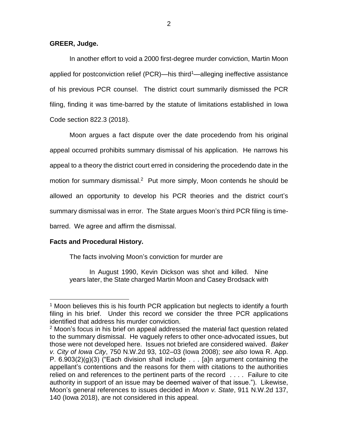## **GREER, Judge.**

In another effort to void a 2000 first-degree murder conviction, Martin Moon applied for postconviction relief (PCR)—his third<sup>1</sup>—alleging ineffective assistance of his previous PCR counsel. The district court summarily dismissed the PCR filing, finding it was time-barred by the statute of limitations established in Iowa Code section 822.3 (2018).

Moon argues a fact dispute over the date procedendo from his original appeal occurred prohibits summary dismissal of his application. He narrows his appeal to a theory the district court erred in considering the procedendo date in the motion for summary dismissal.<sup>2</sup> Put more simply, Moon contends he should be allowed an opportunity to develop his PCR theories and the district court's summary dismissal was in error. The State argues Moon's third PCR filing is timebarred. We agree and affirm the dismissal.

## **Facts and Procedural History.**

 $\overline{a}$ 

The facts involving Moon's conviction for murder are

In August 1990, Kevin Dickson was shot and killed. Nine years later, the State charged Martin Moon and Casey Brodsack with

<sup>&</sup>lt;sup>1</sup> Moon believes this is his fourth PCR application but neglects to identify a fourth filing in his brief. Under this record we consider the three PCR applications identified that address his murder conviction.

<sup>2</sup> Moon's focus in his brief on appeal addressed the material fact question related to the summary dismissal. He vaguely refers to other once-advocated issues, but those were not developed here. Issues not briefed are considered waived. *Baker v. City of Iowa City*, 750 N.W.2d 93, 102–03 (Iowa 2008); *see also* Iowa R. App. P.  $6.903(2)(g)(3)$  ("Each division shall include . . . [a]n argument containing the appellant's contentions and the reasons for them with citations to the authorities relied on and references to the pertinent parts of the record . . . . Failure to cite authority in support of an issue may be deemed waiver of that issue."). Likewise, Moon's general references to issues decided in *Moon v. State*, 911 N.W.2d 137, 140 (Iowa 2018), are not considered in this appeal.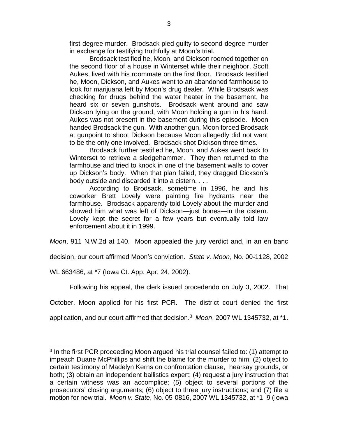first-degree murder. Brodsack pled guilty to second-degree murder in exchange for testifying truthfully at Moon's trial.

Brodsack testified he, Moon, and Dickson roomed together on the second floor of a house in Winterset while their neighbor, Scott Aukes, lived with his roommate on the first floor. Brodsack testified he, Moon, Dickson, and Aukes went to an abandoned farmhouse to look for marijuana left by Moon's drug dealer. While Brodsack was checking for drugs behind the water heater in the basement, he heard six or seven gunshots. Brodsack went around and saw Dickson lying on the ground, with Moon holding a gun in his hand. Aukes was not present in the basement during this episode. Moon handed Brodsack the gun. With another gun, Moon forced Brodsack at gunpoint to shoot Dickson because Moon allegedly did not want to be the only one involved. Brodsack shot Dickson three times.

Brodsack further testified he, Moon, and Aukes went back to Winterset to retrieve a sledgehammer. They then returned to the farmhouse and tried to knock in one of the basement walls to cover up Dickson's body. When that plan failed, they dragged Dickson's body outside and discarded it into a cistern. . . .

According to Brodsack, sometime in 1996, he and his coworker Brett Lovely were painting fire hydrants near the farmhouse. Brodsack apparently told Lovely about the murder and showed him what was left of Dickson—just bones—in the cistern. Lovely kept the secret for a few years but eventually told law enforcement about it in 1999.

*Moon*, 911 N.W.2d at 140. Moon appealed the jury verdict and, in an en banc

decision, our court affirmed Moon's conviction. *State v. Moon*, No. 00-1128, 2002

WL 663486, at \*7 (Iowa Ct. App. Apr. 24, 2002).

 $\overline{a}$ 

Following his appeal, the clerk issued procedendo on July 3, 2002. That

October, Moon applied for his first PCR. The district court denied the first

application, and our court affirmed that decision.<sup>3</sup> *Moon*, 2007 WL 1345732, at \*1.

 $3$  In the first PCR proceeding Moon argued his trial counsel failed to: (1) attempt to impeach Duane McPhillips and shift the blame for the murder to him; (2) object to certain testimony of Madelyn Kerns on confrontation clause, hearsay grounds, or both; (3) obtain an independent ballistics expert; (4) request a jury instruction that a certain witness was an accomplice; (5) object to several portions of the prosecutors' closing arguments; (6) object to three jury instructions; and (7) file a motion for new trial. *Moon v. State*, No. 05-0816, 2007 WL 1345732, at \*1–9 (Iowa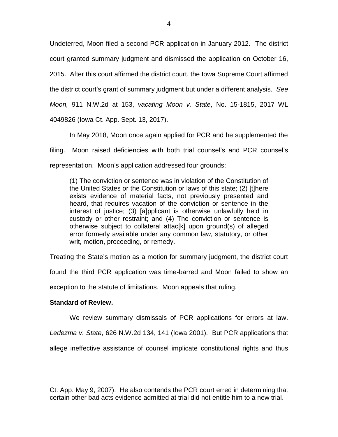Undeterred, Moon filed a second PCR application in January 2012. The district court granted summary judgment and dismissed the application on October 16, 2015. After this court affirmed the district court, the Iowa Supreme Court affirmed the district court's grant of summary judgment but under a different analysis. *See Moon,* 911 N.W.2d at 153, *vacating Moon v. State*, No. 15-1815, 2017 WL 4049826 (Iowa Ct. App. Sept. 13, 2017).

In May 2018, Moon once again applied for PCR and he supplemented the filing. Moon raised deficiencies with both trial counsel's and PCR counsel's representation. Moon's application addressed four grounds:

(1) The conviction or sentence was in violation of the Constitution of the United States or the Constitution or laws of this state; (2) [t]here exists evidence of material facts, not previously presented and heard, that requires vacation of the conviction or sentence in the interest of justice; (3) [a]pplicant is otherwise unlawfully held in custody or other restraint; and (4) The conviction or sentence is otherwise subject to collateral attac[k] upon ground(s) of alleged error formerly available under any common law, statutory, or other writ, motion, proceeding, or remedy.

Treating the State's motion as a motion for summary judgment, the district court found the third PCR application was time-barred and Moon failed to show an exception to the statute of limitations. Moon appeals that ruling.

## **Standard of Review.**

 $\overline{a}$ 

We review summary dismissals of PCR applications for errors at law. *Ledezma v. State*, 626 N.W.2d 134, 141 (Iowa 2001). But PCR applications that allege ineffective assistance of counsel implicate constitutional rights and thus

Ct. App. May 9, 2007). He also contends the PCR court erred in determining that certain other bad acts evidence admitted at trial did not entitle him to a new trial.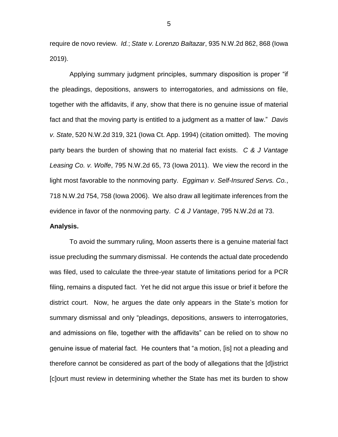require de novo review. *Id.*; *State v. Lorenzo Baltazar*, 935 N.W.2d 862, 868 (Iowa 2019).

Applying summary judgment principles, summary disposition is proper "if the pleadings, depositions, answers to interrogatories, and admissions on file, together with the affidavits, if any, show that there is no genuine issue of material fact and that the moving party is entitled to a judgment as a matter of law." *Davis v. State*, 520 N.W.2d 319, 321 (Iowa Ct. App. 1994) (citation omitted). The moving party bears the burden of showing that no material fact exists. *C & J Vantage Leasing Co. v. Wolfe*, 795 N.W.2d 65, 73 (Iowa 2011). We view the record in the light most favorable to the nonmoving party. *Eggiman v. Self-Insured Servs. Co.*, 718 N.W.2d 754, 758 (Iowa 2006). We also draw all legitimate inferences from the evidence in favor of the nonmoving party. *C & J Vantage*, 795 N.W.2d at 73.

## **Analysis.**

To avoid the summary ruling, Moon asserts there is a genuine material fact issue precluding the summary dismissal. He contends the actual date procedendo was filed, used to calculate the three-year statute of limitations period for a PCR filing, remains a disputed fact. Yet he did not argue this issue or brief it before the district court. Now, he argues the date only appears in the State's motion for summary dismissal and only "pleadings, depositions, answers to interrogatories, and admissions on file, together with the affidavits" can be relied on to show no genuine issue of material fact. He counters that "a motion, [is] not a pleading and therefore cannot be considered as part of the body of allegations that the [d]istrict [c]ourt must review in determining whether the State has met its burden to show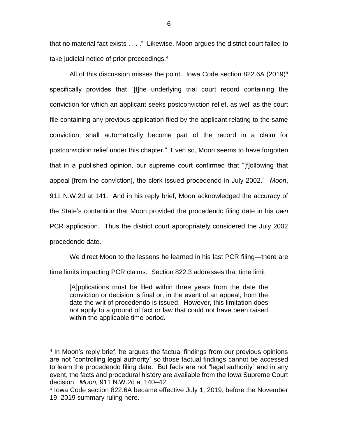that no material fact exists . . . ." Likewise, Moon argues the district court failed to take judicial notice of prior proceedings.<sup>4</sup>

All of this discussion misses the point. Iowa Code section 822.6A (2019)<sup>5</sup> specifically provides that "[t]he underlying trial court record containing the conviction for which an applicant seeks postconviction relief, as well as the court file containing any previous application filed by the applicant relating to the same conviction, shall automatically become part of the record in a claim for postconviction relief under this chapter." Even so, Moon seems to have forgotten that in a published opinion, our supreme court confirmed that "[f]ollowing that appeal [from the conviction], the clerk issued procedendo in July 2002." *Moon*, 911 N.W.2d at 141. And in his reply brief, Moon acknowledged the accuracy of the State's contention that Moon provided the procedendo filing date in his *own* PCR application. Thus the district court appropriately considered the July 2002 procedendo date.

We direct Moon to the lessons he learned in his last PCR filing—there are time limits impacting PCR claims. Section 822.3 addresses that time limit

[A]pplications must be filed within three years from the date the conviction or decision is final or, in the event of an appeal, from the date the writ of procedendo is issued. However, this limitation does not apply to a ground of fact or law that could not have been raised within the applicable time period.

 $\overline{a}$ 

<sup>&</sup>lt;sup>4</sup> In Moon's reply brief, he argues the factual findings from our previous opinions are not "controlling legal authority" so those factual findings cannot be accessed to learn the procedendo filing date. But facts are not "legal authority" and in any event, the facts and procedural history are available from the Iowa Supreme Court decision. *Moon,* 911 N.W.2d at 140–42.

<sup>&</sup>lt;sup>5</sup> Iowa Code section 822.6A became effective July 1, 2019, before the November 19, 2019 summary ruling here.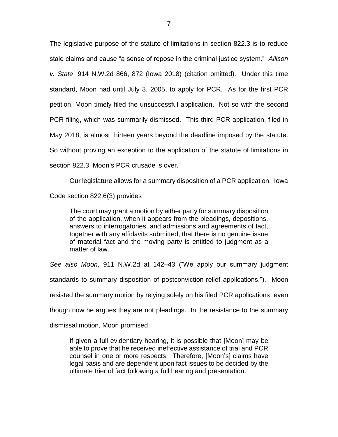The legislative purpose of the statute of limitations in section 822.3 is to reduce stale claims and cause "a sense of repose in the criminal justice system." *Allison v. State*, 914 N.W.2d 866, 872 (Iowa 2018) (citation omitted). Under this time standard, Moon had until July 3, 2005, to apply for PCR. As for the first PCR petition, Moon timely filed the unsuccessful application. Not so with the second PCR filing, which was summarily dismissed. This third PCR application, filed in May 2018, is almost thirteen years beyond the deadline imposed by the statute. So without proving an exception to the application of the statute of limitations in section 822.3, Moon's PCR crusade is over.

Our legislature allows for a summary disposition of a PCR application. Iowa Code section 822.6(3) provides

The court may grant a motion by either party for summary disposition of the application, when it appears from the pleadings, depositions, answers to interrogatories, and admissions and agreements of fact, together with any affidavits submitted, that there is no genuine issue of material fact and the moving party is entitled to judgment as a matter of law.

*See also Moon*, 911 N.W.2d at 142–43 ("We apply our summary judgment

standards to summary disposition of postconviction-relief applications."). Moon

resisted the summary motion by relying solely on his filed PCR applications, even

though now he argues they are not pleadings. In the resistance to the summary

dismissal motion, Moon promised

If given a full evidentiary hearing, it is possible that [Moon] may be able to prove that he received ineffective assistance of trial and PCR counsel in one or more respects. Therefore, [Moon's] claims have legal basis and are dependent upon fact issues to be decided by the ultimate trier of fact following a full hearing and presentation.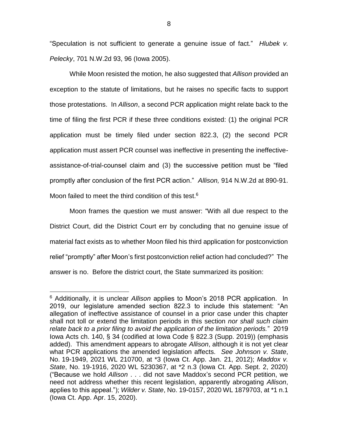"Speculation is not sufficient to generate a genuine issue of fact." *Hlubek v. Pelecky*, 701 N.W.2d 93, 96 (Iowa 2005).

While Moon resisted the motion, he also suggested that *Allison* provided an exception to the statute of limitations, but he raises no specific facts to support those protestations. In *Allison*, a second PCR application might relate back to the time of filing the first PCR if these three conditions existed: (1) the original PCR application must be timely filed under section 822.3, (2) the second PCR application must assert PCR counsel was ineffective in presenting the ineffectiveassistance-of-trial-counsel claim and (3) the successive petition must be "filed promptly after conclusion of the first PCR action." *Allison,* 914 N.W.2d at 890-91. Moon failed to meet the third condition of this test. $6$ 

Moon frames the question we must answer: "With all due respect to the District Court, did the District Court err by concluding that no genuine issue of material fact exists as to whether Moon filed his third application for postconviction relief "promptly" after Moon's first postconviction relief action had concluded?" The answer is no. Before the district court, the State summarized its position:

 $\overline{a}$ 

<sup>6</sup> Additionally, it is unclear *Allison* applies to Moon's 2018 PCR application. In 2019, our legislature amended section 822.3 to include this statement: "An allegation of ineffective assistance of counsel in a prior case under this chapter shall not toll or extend the limitation periods in this section *nor shall such claim relate back to a prior filing to avoid the application of the limitation periods.*" 2019 Iowa Acts ch. 140, § 34 (codified at [Iowa Code § 822.3 \(Supp. 2019\)\)](https://1.next.westlaw.com/Link/Document/FullText?findType=L&pubNum=1000256&cite=IASTS822.3&originatingDoc=Ib2bf91905c4511eb8cb3c4fde92c4669&refType=LQ&originationContext=document&transitionType=DocumentItem&contextData=(sc.Search)) (emphasis added). This amendment appears to abrogate *Allison*, although it is not yet clear what PCR applications the amended legislation affects. *See Johnson v. State*, No. 19-1949, 2021 WL 210700, at \*3 (Iowa Ct. App. Jan. 21, 2012); *Maddox v. State*, No. 19-1916, 2020 WL 5230367, at \*2 n.3 (Iowa Ct. App. Sept. 2, 2020) ("Because we hold *Allison* . . . did not save Maddox's second PCR petition, we need not address whether this recent legislation, apparently abrogating *Allison*, applies to this appeal."); *Wilder v. State*, No. 19-0157, 2020 WL 1879703, at \*1 n.1 (Iowa Ct. App. Apr. 15, 2020).